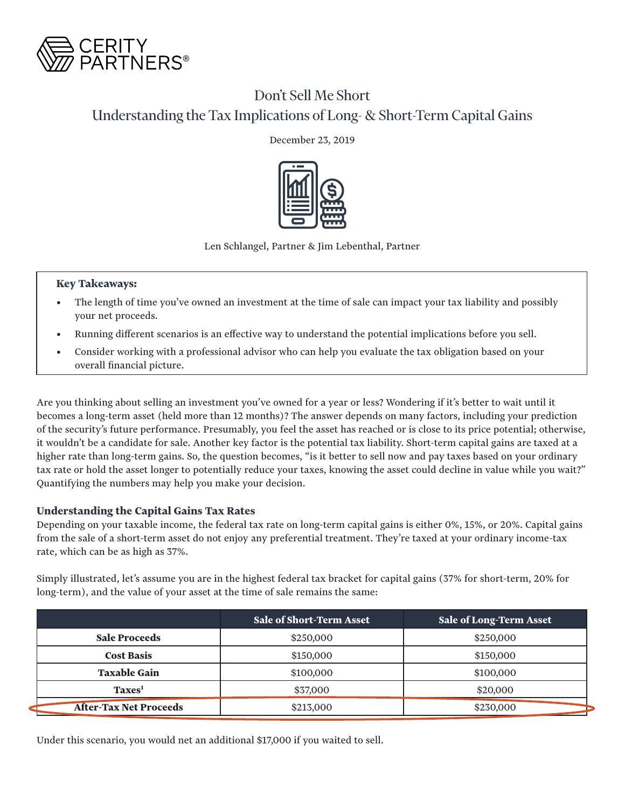

# Don't Sell Me Short Understanding the Tax Implications of Long- & Short-Term Capital Gains

December 23, 2019



Len Schlangel, Partner & Jim Lebentha[l, Partner](https://ceritypartners.com/our-team/steve-walker/)

### **Key Takeaways:**

- The length of time you've owned an investment at the time of sale can impact your tax liability and possibly your net proceeds.
- Running different scenarios is an effective way to understand the potential implications before you sell.
- Consider working with a professional advisor who can help you evaluate the tax obligation based on your overall financial picture.

Are you thinking about selling an investment you've owned for a year or less? Wondering if it's better to wait until it becomes a long-term asset (held more than 12 months)? The answer depends on many factors, including your prediction of the security's future performance. Presumably, you feel the asset has reached or is close to its price potential; otherwise, it wouldn't be a candidate for sale. Another key factor is the potential tax liability. Short-term capital gains are taxed at a higher rate than long-term gains. So, the question becomes, "is it better to sell now and pay taxes based on your ordinary tax rate or hold the asset longer to potentially reduce your taxes, knowing the asset could decline in value while you wait?" Quantifying the numbers may help you make your decision.

## **Understanding the Capital Gains Tax Rates**

Depending on your taxable income, the federal tax rate on long-term capital gains is either 0%, 15%, or 20%. Capital gains from the sale of a short-term asset do not enjoy any preferential treatment. They're taxed at your ordinary income-tax rate, which can be as high as 37%.

Simply illustrated, let's assume you are in the highest federal tax bracket for capital gains (37% for short-term, 20% for long-term), and the value of your asset at the time of sale remains the same:

|                               | <b>Sale of Short-Term Asset</b> | <b>Sale of Long-Term Asset</b> |
|-------------------------------|---------------------------------|--------------------------------|
| <b>Sale Proceeds</b>          | \$250,000                       | \$250,000                      |
| <b>Cost Basis</b>             | \$150,000                       | \$150,000                      |
| <b>Taxable Gain</b>           | \$100,000                       | \$100,000                      |
| $\mathbf{Taxes}^1$            | \$37,000                        | \$20,000                       |
| <b>After-Tax Net Proceeds</b> | \$213,000                       | \$230,000                      |

Under this scenario, you would net an additional \$17,000 if you waited to sell.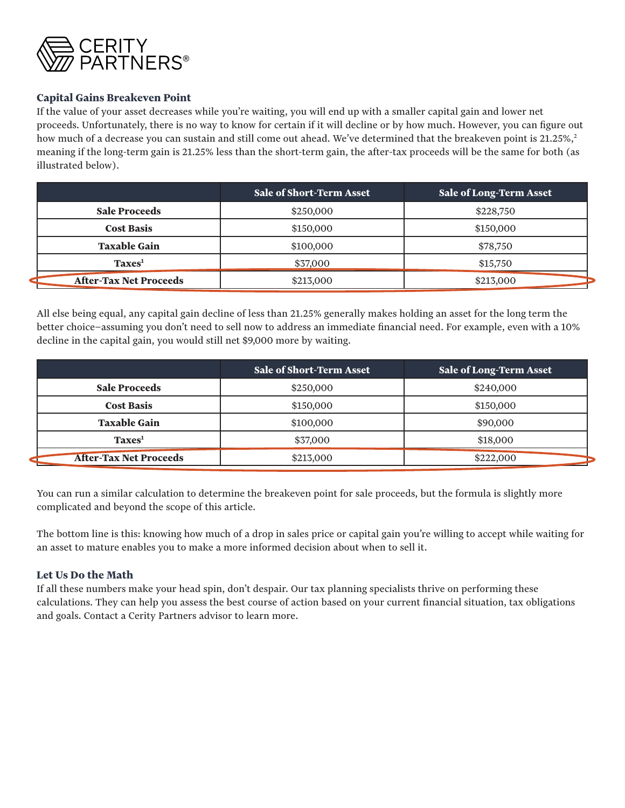

## **Capital Gains Breakeven Point**

If the value of your asset decreases while you're waiting, you will end up with a smaller capital gain and lower net proceeds. Unfortunately, there is no way to know for certain if it will decline or by how much. However, you can figure out how much of a decrease you can sustain and still come out ahead. We've determined that the breakeven point is 21.25%,<sup>2</sup> meaning if the long-term gain is 21.25% less than the short-term gain, the after-tax proceeds will be the same for both (as illustrated below).

|                               | <b>Sale of Short-Term Asset</b> | <b>Sale of Long-Term Asset</b> |
|-------------------------------|---------------------------------|--------------------------------|
| <b>Sale Proceeds</b>          | \$250,000                       | \$228,750                      |
| <b>Cost Basis</b>             | \$150,000                       | \$150,000                      |
| <b>Taxable Gain</b>           | \$100,000                       | \$78,750                       |
| $\mathbf{Taxes}^1$            | \$37,000                        | \$15,750                       |
| <b>After-Tax Net Proceeds</b> | \$213,000                       | \$213,000                      |

All else being equal, any capital gain decline of less than 21.25% generally makes holding an asset for the long term the better choice−assuming you don't need to sell now to address an immediate financial need. For example, even with a 10% decline in the capital gain, you would still net \$9,000 more by waiting.

|                               | <b>Sale of Short-Term Asset</b> | <b>Sale of Long-Term Asset</b> |
|-------------------------------|---------------------------------|--------------------------------|
| <b>Sale Proceeds</b>          | \$250,000                       | \$240,000                      |
| <b>Cost Basis</b>             | \$150,000                       | \$150,000                      |
| <b>Taxable Gain</b>           | \$100,000                       | \$90,000                       |
| $\mathbf{Taxes}^1$            | \$37,000                        | \$18,000                       |
| <b>After-Tax Net Proceeds</b> | \$213,000                       | \$222,000                      |

You can run a similar calculation to determine the breakeven point for sale proceeds, but the formula is slightly more complicated and beyond the scope of this article.

The bottom line is this: knowing how much of a drop in sales price or capital gain you're willing to accept while waiting for an asset to mature enables you to make a more informed decision about when to sell it.

### **Let Us Do the Math**

If all these numbers make your head spin, don't despair. Our tax planning specialists thrive on performing these calculations. They can help you assess the best course of action based on your current financial situation, tax obligations and goals. Contact a Cerity Partners advisor to learn more.